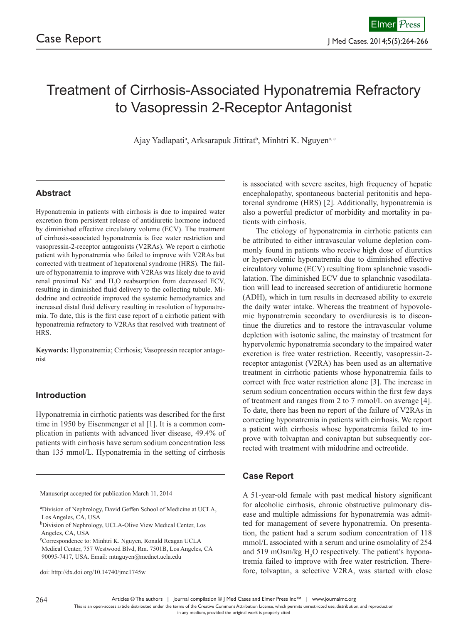# Treatment of Cirrhosis-Associated Hyponatremia Refractory to Vasopressin 2-Receptor Antagonist

Ajay Yadlapati<sup>a</sup>, Arksarapuk Jittirat<sup>b</sup>, Minhtri K. Nguyen<sup>a, c</sup>

# **Abstract**

Hyponatremia in patients with cirrhosis is due to impaired water excretion from persistent release of antidiuretic hormone induced by diminished effective circulatory volume (ECV). The treatment of cirrhosis-associated hyponatremia is free water restriction and vasopressin-2-receptor antagonists (V2RAs). We report a cirrhotic patient with hyponatremia who failed to improve with V2RAs but corrected with treatment of hepatorenal syndrome (HRS). The failure of hyponatremia to improve with V2RAs was likely due to avid renal proximal  $Na^+$  and  $H_2O$  reabsorption from decreased ECV, resulting in diminished fluid delivery to the collecting tubule. Midodrine and octreotide improved the systemic hemodynamics and increased distal fluid delivery resulting in resolution of hyponatremia. To date, this is the first case report of a cirrhotic patient with hyponatremia refractory to V2RAs that resolved with treatment of HRS.

**Keywords:** Hyponatremia; Cirrhosis; Vasopressin receptor antagonist

## **Introduction**

Hyponatremia in cirrhotic patients was described for the first time in 1950 by Eisenmenger et al [1]. It is a common complication in patients with advanced liver disease, 49.4% of patients with cirrhosis have serum sodium concentration less than 135 mmol/L. Hyponatremia in the setting of cirrhosis

Manuscript accepted for publication March 11, 2014

doi: http://dx.doi.org/10.14740/jmc1745w

is associated with severe ascites, high frequency of hepatic encephalopathy, spontaneous bacterial peritonitis and hepatorenal syndrome (HRS) [2]. Additionally, hyponatremia is also a powerful predictor of morbidity and mortality in patients with cirrhosis.

The etiology of hyponatremia in cirrhotic patients can be attributed to either intravascular volume depletion commonly found in patients who receive high dose of diuretics or hypervolemic hyponatremia due to diminished effective circulatory volume (ECV) resulting from splanchnic vasodilatation. The diminished ECV due to splanchnic vasodilatation will lead to increased secretion of antidiuretic hormone (ADH), which in turn results in decreased ability to excrete the daily water intake. Whereas the treatment of hypovolemic hyponatremia secondary to overdiuresis is to discontinue the diuretics and to restore the intravascular volume depletion with isotonic saline, the mainstay of treatment for hypervolemic hyponatremia secondary to the impaired water excretion is free water restriction. Recently, vasopressin-2 receptor antagonist (V2RA) has been used as an alternative treatment in cirrhotic patients whose hyponatremia fails to correct with free water restriction alone [3]. The increase in serum sodium concentration occurs within the first few days of treatment and ranges from 2 to 7 mmol/L on average [4]. To date, there has been no report of the failure of V2RAs in correcting hyponatremia in patients with cirrhosis. We report a patient with cirrhosis whose hyponatremia failed to improve with tolvaptan and conivaptan but subsequently corrected with treatment with midodrine and octreotide.

## **Case Report**

A 51-year-old female with past medical history significant for alcoholic cirrhosis, chronic obstructive pulmonary disease and multiple admissions for hyponatremia was admitted for management of severe hyponatremia. On presentation, the patient had a serum sodium concentration of 118 mmol/L associated with a serum and urine osmolality of 254 and 519 mOsm/kg  $H_2O$  respectively. The patient's hyponatremia failed to improve with free water restriction. Therefore, tolvaptan, a selective V2RA, was started with close

a Division of Nephrology, David Geffen School of Medicine at UCLA, Los Angeles, CA, USA

<sup>&</sup>lt;sup>b</sup>Division of Nephrology, UCLA-Olive View Medical Center, Los Angeles, CA, USA

c Correspondence to: Minhtri K. Nguyen, Ronald Reagan UCLA Medical Center, 757 Westwood Blvd, Rm. 7501B, Los Angeles, CA 90095-7417, USA. Email: mtnguyen@mednet.ucla.edu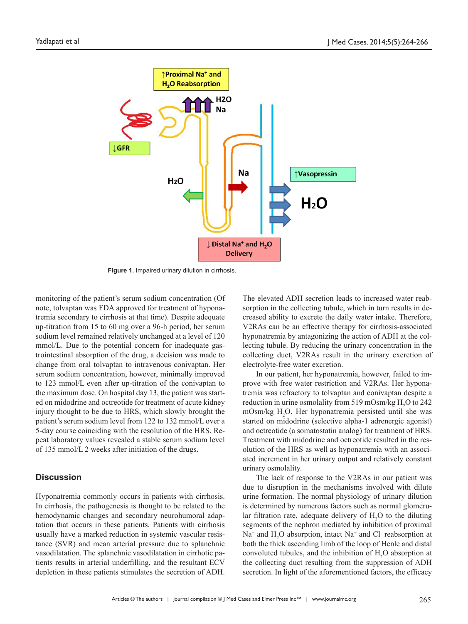

**Figure 1.** Impaired urinary dilution in cirrhosis.

monitoring of the patient's serum sodium concentration (Of note, tolvaptan was FDA approved for treatment of hyponatremia secondary to cirrhosis at that time). Despite adequate up-titration from 15 to 60 mg over a 96-h period, her serum sodium level remained relatively unchanged at a level of 120 mmol/L. Due to the potential concern for inadequate gastrointestinal absorption of the drug, a decision was made to change from oral tolvaptan to intravenous conivaptan. Her serum sodium concentration, however, minimally improved to 123 mmol/L even after up-titration of the conivaptan to the maximum dose. On hospital day 13, the patient was started on midodrine and octreotide for treatment of acute kidney injury thought to be due to HRS, which slowly brought the patient's serum sodium level from 122 to 132 mmol/L over a 5-day course coinciding with the resolution of the HRS. Repeat laboratory values revealed a stable serum sodium level of 135 mmol/L 2 weeks after initiation of the drugs.

#### **Discussion**

Hyponatremia commonly occurs in patients with cirrhosis. In cirrhosis, the pathogenesis is thought to be related to the hemodynamic changes and secondary neurohumoral adaptation that occurs in these patients. Patients with cirrhosis usually have a marked reduction in systemic vascular resistance (SVR) and mean arterial pressure due to splanchnic vasodilatation. The splanchnic vasodilatation in cirrhotic patients results in arterial underfilling, and the resultant ECV depletion in these patients stimulates the secretion of ADH.

The elevated ADH secretion leads to increased water reabsorption in the collecting tubule, which in turn results in decreased ability to excrete the daily water intake. Therefore, V2RAs can be an effective therapy for cirrhosis-associated hyponatremia by antagonizing the action of ADH at the collecting tubule. By reducing the urinary concentration in the collecting duct, V2RAs result in the urinary excretion of electrolyte-free water excretion.

In our patient, her hyponatremia, however, failed to improve with free water restriction and V2RAs. Her hyponatremia was refractory to tolvaptan and conivaptan despite a reduction in urine osmolality from 519 mOsm/kg  $H_2O$  to 242 mOsm/kg  $H_2O$ . Her hyponatremia persisted until she was started on midodrine (selective alpha-1 adrenergic agonist) and octreotide (a somatostatin analog) for treatment of HRS. Treatment with midodrine and octreotide resulted in the resolution of the HRS as well as hyponatremia with an associated increment in her urinary output and relatively constant urinary osmolality.

The lack of response to the V2RAs in our patient was due to disruption in the mechanisms involved with dilute urine formation. The normal physiology of urinary dilution is determined by numerous factors such as normal glomerular filtration rate, adequate delivery of  $H_2O$  to the diluting segments of the nephron mediated by inhibition of proximal  $Na<sup>+</sup>$  and  $H<sub>2</sub>O$  absorption, intact  $Na<sup>+</sup>$  and Cl reabsorption at both the thick ascending limb of the loop of Henle and distal convoluted tubules, and the inhibition of  $H_2O$  absorption at the collecting duct resulting from the suppression of ADH secretion. In light of the aforementioned factors, the efficacy